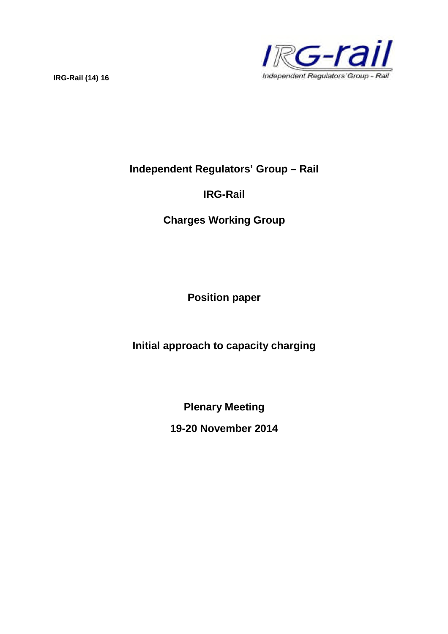

**Independent Regulators' Group – Rail**

# **IRG-Rail**

**Charges Working Group**

**Position paper**

**Initial approach to capacity charging**

**Plenary Meeting**

**19-20 November 2014**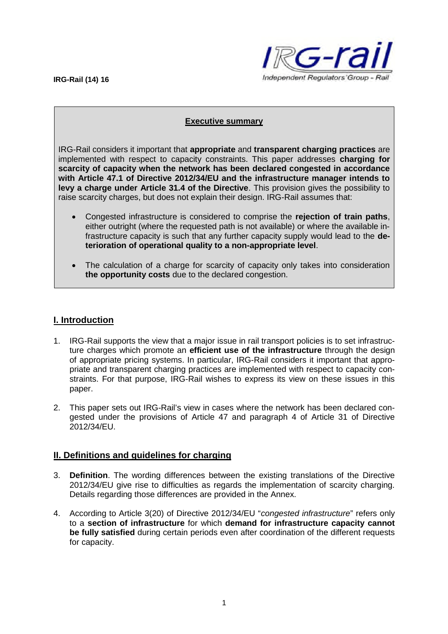

#### **Executive summary**

IRG-Rail considers it important that **appropriate** and **transparent charging practices** are implemented with respect to capacity constraints. This paper addresses **charging for scarcity of capacity when the network has been declared congested in accordance with Article 47.1 of Directive 2012/34/EU and the infrastructure manager intends to levy a charge under Article 31.4 of the Directive**. This provision gives the possibility to raise scarcity charges, but does not explain their design. IRG-Rail assumes that:

- Congested infrastructure is considered to comprise the **rejection of train paths**, either outright (where the requested path is not available) or where the available infrastructure capacity is such that any further capacity supply would lead to the **deterioration of operational quality to a non-appropriate level**.
- The calculation of a charge for scarcity of capacity only takes into consideration **the opportunity costs** due to the declared congestion.

## **I. Introduction**

- 1. IRG-Rail supports the view that a major issue in rail transport policies is to set infrastructure charges which promote an **efficient use of the infrastructure** through the design of appropriate pricing systems. In particular, IRG-Rail considers it important that appropriate and transparent charging practices are implemented with respect to capacity constraints. For that purpose, IRG-Rail wishes to express its view on these issues in this paper.
- 2. This paper sets out IRG-Rail's view in cases where the network has been declared congested under the provisions of Article 47 and paragraph 4 of Article 31 of Directive 2012/34/EU.

### **II. Definitions and guidelines for charging**

- 3. **Definition**. The wording differences between the existing translations of the Directive 2012/34/EU give rise to difficulties as regards the implementation of scarcity charging. Details regarding those differences are provided in the Annex.
- 4. According to Article 3(20) of Directive 2012/34/EU "*congested infrastructure*" refers only to a **section of infrastructure** for which **demand for infrastructure capacity cannot be fully satisfied** during certain periods even after coordination of the different requests for capacity.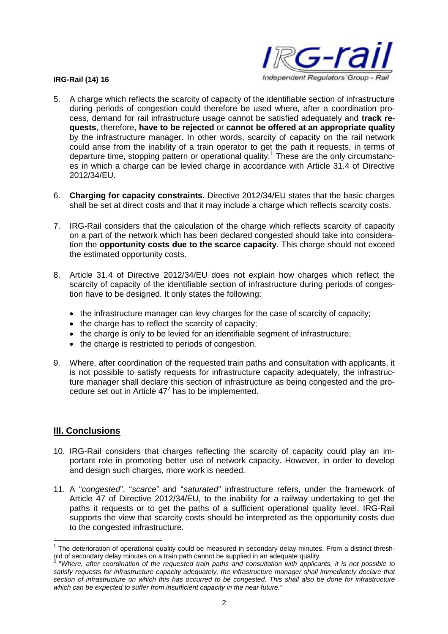

- 5. A charge which reflects the scarcity of capacity of the identifiable section of infrastructure during periods of congestion could therefore be used where, after a coordination process, demand for rail infrastructure usage cannot be satisfied adequately and **track requests**, therefore, **have to be rejected** or **cannot be offered at an appropriate quality** by the infrastructure manager. In other words, scarcity of capacity on the rail network could arise from the inability of a train operator to get the path it requests, in terms of departure time, stopping pattern or operational quality.<sup>1</sup> These are the only circumstances in which a charge can be levied charge in accordance with Article 31.4 of Directive 2012/34/EU.
- 6. **Charging for capacity constraints.** Directive 2012/34/EU states that the basic charges shall be set at direct costs and that it may include a charge which reflects scarcity costs.
- 7. IRG-Rail considers that the calculation of the charge which reflects scarcity of capacity on a part of the network which has been declared congested should take into consideration the **opportunity costs due to the scarce capacity**. This charge should not exceed the estimated opportunity costs.
- 8. Article 31.4 of Directive 2012/34/EU does not explain how charges which reflect the scarcity of capacity of the identifiable section of infrastructure during periods of congestion have to be designed. It only states the following:
	- the infrastructure manager can levy charges for the case of scarcity of capacity;
	- the charge has to reflect the scarcity of capacity:
	- the charge is only to be levied for an identifiable segment of infrastructure;
	- the charge is restricted to periods of congestion.
- 9. Where, after coordination of the requested train paths and consultation with applicants, it is not possible to satisfy requests for infrastructure capacity adequately, the infrastructure manager shall declare this section of infrastructure as being congested and the procedure set out in Article  $47<sup>2</sup>$  has to be implemented.

### **III. Conclusions**

- 10. IRG-Rail considers that charges reflecting the scarcity of capacity could play an important role in promoting better use of network capacity. However, in order to develop and design such charges, more work is needed.
- 11. A "*congested*", "*scarce*" and "*saturated*" infrastructure refers, under the framework of Article 47 of Directive 2012/34/EU, to the inability for a railway undertaking to get the paths it requests or to get the paths of a sufficient operational quality level. IRG-Rail supports the view that scarcity costs should be interpreted as the opportunity costs due to the congested infrastructure.

 $1$  The deterioration of operational quality could be measured in secondary delay minutes. From a distinct threshold of secondary delay minutes on a train path cannot be supplied in an adequate quality.<br>2. "Where offer coordination of the requested train paths and consultation with opplied

<sup>&</sup>quot;*Where, after coordination of the requested train paths and consultation with applicants, it is not possible to satisfy requests for infrastructure capacity adequately, the infrastructure manager shall immediately declare that section of infrastructure on which this has occurred to be congested. This shall also be done for infrastructure which can be expected to suffer from insufficient capacity in the near future."*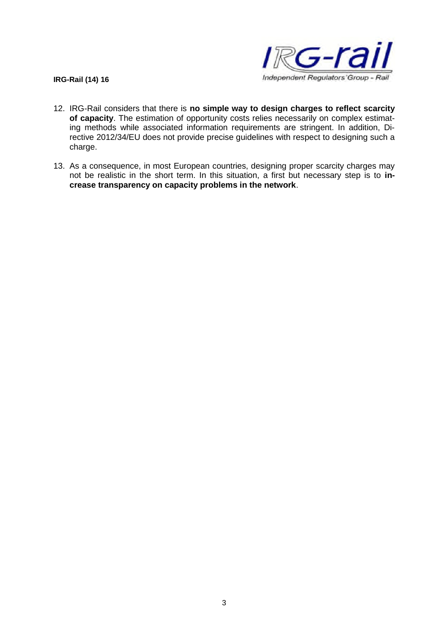

- 12. IRG-Rail considers that there is **no simple way to design charges to reflect scarcity of capacity**. The estimation of opportunity costs relies necessarily on complex estimating methods while associated information requirements are stringent. In addition, Directive 2012/34/EU does not provide precise guidelines with respect to designing such a charge.
- 13. As a consequence, in most European countries, designing proper scarcity charges may not be realistic in the short term. In this situation, a first but necessary step is to **increase transparency on capacity problems in the network**.